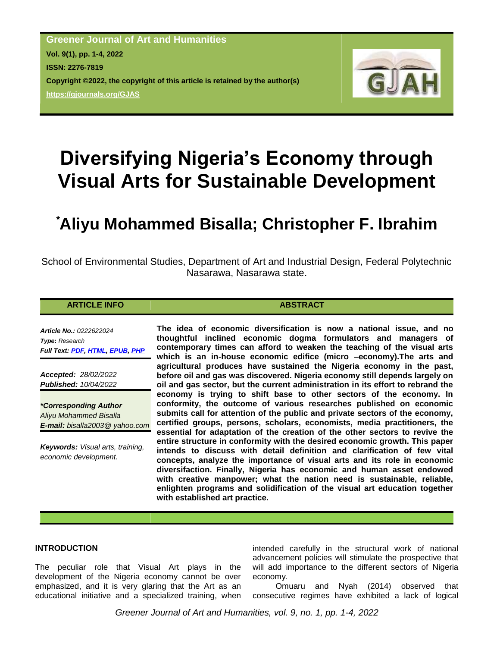**Greener Journal of Art and Humanities Vol. 9(1), pp. 1-4, 2022 ISSN: 2276-7819 Copyright ©2022, the copyright of this article is retained by the author(s) <https://gjournals.org/GJAS>**



# **Diversifying Nigeria's Economy through Visual Arts for Sustainable Development**

## **\*Aliyu Mohammed Bisalla; Christopher F. Ibrahim**

School of Environmental Studies, Department of Art and Industrial Design, Federal Polytechnic Nasarawa, Nasarawa state.

#### **ARTICLE INFO ABSTRACT**

*Article No.: 0222622024 Type***:** *Research Full Text: [PDF,](https://gjournals.org/GJAH/Publication/2022/1/PDF/022622024%20Bisalla%20and%20Ibrahim.pdf) [HTML,](http://gjournals.org/GJAH/Publication/2022/1/HTML/022622024%20Bisalla%20and%20Ibrahim.htm) [EPUB,](https://gjournals.org/GJAH/Publication/2022/1/EPUB/022622024%20Bisalla%20and%20Ibrahim.epub) [PHP](https://www.gjournals.org/2022/04/10/022622024-bisalla-and-ibrahim/)*

*Accepted: 28/02/2022 Published: 10/04/2022*

*\*Corresponding Author Aliyu Mohammed Bisalla E-mail: bisalla2003@ yahoo.com*

*Keywords: Visual arts, training, economic development.*

**The idea of economic diversification is now a national issue, and no thoughtful inclined economic dogma formulators and managers of contemporary times can afford to weaken the teaching of the visual arts which is an in-house economic edifice (micro –economy).The arts and agricultural produces have sustained the Nigeria economy in the past, before oil and gas was discovered. Nigeria economy still depends largely on oil and gas sector, but the current administration in its effort to rebrand the economy is trying to shift base to other sectors of the economy. In conformity, the outcome of various researches published on economic submits call for attention of the public and private sectors of the economy, certified groups, persons, scholars, economists, media practitioners, the essential for adaptation of the creation of the other sectors to revive the entire structure in conformity with the desired economic growth. This paper intends to discuss with detail definition and clarification of few vital concepts, analyze the importance of visual arts and its role in economic diversifaction. Finally, Nigeria has economic and human asset endowed with creative manpower; what the nation need is sustainable, reliable, enlighten programs and solidification of the visual art education together with established art practice.**

#### **INTRODUCTION**

The peculiar role that Visual Art plays in the development of the Nigeria economy cannot be over emphasized, and it is very glaring that the Art as an educational initiative and a specialized training, when

intended carefully in the structural work of national advancement policies will stimulate the prospective that will add importance to the different sectors of Nigeria economy.

Omuaru and Nyah (2014) observed that consecutive regimes have exhibited a lack of logical

*Greener Journal of Art and Humanities, vol. 9, no. 1, pp. 1-4, 2022*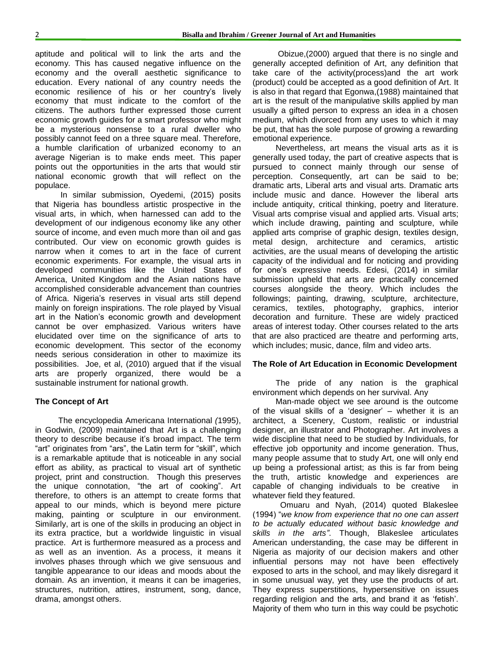aptitude and political will to link the arts and the economy. This has caused negative influence on the economy and the overall aesthetic significance to education. Every national of any country needs the economic resilience of his or her country's lively economy that must indicate to the comfort of the citizens. The authors further expressed those current economic growth guides for a smart professor who might be a mysterious nonsense to a rural dweller who possibly cannot feed on a three square meal. Therefore, a humble clarification of urbanized economy to an average Nigerian is to make ends meet. This paper points out the opportunities in the arts that would stir national economic growth that will reflect on the populace.

In similar submission, Oyedemi, (2015) posits that Nigeria has boundless artistic prospective in the visual arts, in which, when harnessed can add to the development of our indigenous economy like any other source of income, and even much more than oil and gas contributed. Our view on economic growth guides is narrow when it comes to art in the face of current economic experiments. For example, the visual arts in developed communities like the United States of America, United Kingdom and the Asian nations have accomplished considerable advancement than countries of Africa. Nigeria"s reserves in visual arts still depend mainly on foreign inspirations. The role played by Visual art in the Nation"s economic growth and development cannot be over emphasized. Various writers have elucidated over time on the significance of arts to economic development. This sector of the economy needs serious consideration in other to maximize its possibilities. Joe, et al, (2010) argued that if the visual arts are properly organized, there would be a sustainable instrument for national growth.

#### **The Concept of Art**

The encyclopedia Americana International *(*1995), in Godwin, (2009) maintained that Art is a challenging theory to describe because it's broad impact. The term "art" originates from "ars", the Latin term for "skill", which is a remarkable aptitude that is noticeable in any social effort as ability, as practical to visual art of synthetic project, print and construction. Though this preserves the unique connotation, "the art of cooking". Art therefore, to others is an attempt to create forms that appeal to our minds, which is beyond mere picture making, painting or sculpture in our environment. Similarly, art is one of the skills in producing an object in its extra practice, but a worldwide linguistic in visual practice. Art is furthermore measured as a process and as well as an invention. As a process, it means it involves phases through which we give sensuous and tangible appearance to our ideas and moods about the domain. As an invention, it means it can be imageries, structures, nutrition, attires, instrument, song, dance, drama, amongst others.

Obizue,(2000) argued that there is no single and generally accepted definition of Art, any definition that take care of the activity(process)and the art work (product) could be accepted as a good definition of Art. It is also in that regard that Egonwa,(1988) maintained that art is the result of the manipulative skills applied by man usually a gifted person to express an idea in a chosen medium, which divorced from any uses to which it may be put, that has the sole purpose of growing a rewarding emotional experience.

Nevertheless, art means the visual arts as it is generally used today, the part of creative aspects that is pursued to connect mainly through our sense of perception. Consequently, art can be said to be; dramatic arts, Liberal arts and visual arts. Dramatic arts include music and dance. However the liberal arts include antiquity, critical thinking, poetry and literature. Visual arts comprise visual and applied arts. Visual arts; which include drawing, painting and sculpture, while applied arts comprise of graphic design, textiles design, metal design, architecture and ceramics, artistic activities, are the usual means of developing the artistic capacity of the individual and for noticing and providing for one"s expressive needs. Edesi, (2014) in similar submission upheld that arts are practically concerned courses alongside the theory. Which includes the followings; painting, drawing, sculpture, architecture, ceramics, textiles, photography, graphics, interior decoration and furniture. These are widely practiced areas of interest today. Other courses related to the arts that are also practiced are theatre and performing arts, which includes; music, dance, film and video arts.

### **The Role of Art Education in Economic Development**

The pride of any nation is the graphical environment which depends on her survival. Any

Man-made object we see around is the outcome of the visual skills of a "designer" – whether it is an architect, a Scenery, Custom, realistic or industrial designer, an illustrator and Photographer. Art involves a wide discipline that need to be studied by Individuals, for effective job opportunity and income generation. Thus, many people assume that to study Art, one will only end up being a professional artist; as this is far from being the truth, artistic knowledge and experiences are capable of changing individuals to be creative in whatever field they featured.

Omuaru and Nyah, (2014) quoted Blakeslee (1994) "*we know from experience that no one can assert to be actually educated without basic knowledge and skills in the arts"*. Though, Blakeslee articulates American understanding, the case may be different in Nigeria as majority of our decision makers and other influential persons may not have been effectively exposed to arts in the school, and may likely disregard it in some unusual way, yet they use the products of art. They express superstitions, hypersensitive on issues regarding religion and the arts, and brand it as "fetish". Majority of them who turn in this way could be psychotic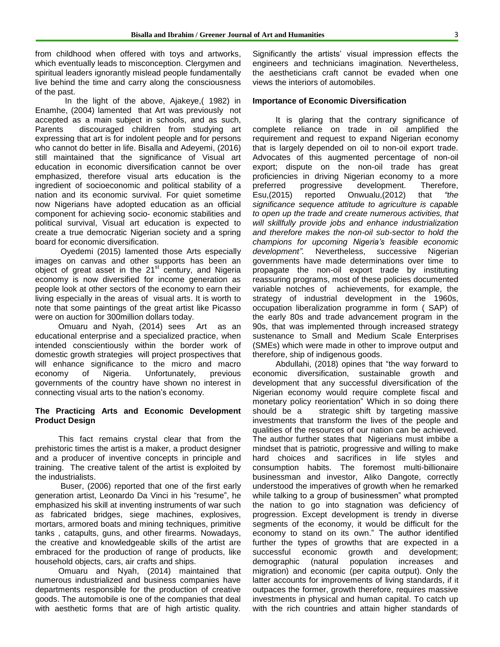from childhood when offered with toys and artworks, which eventually leads to misconception. Clergymen and spiritual leaders ignorantly mislead people fundamentally live behind the time and carry along the consciousness of the past.

In the light of the above, Ajakeye,( 1982) in Enamhe, (2004) lamented that Art was previously not accepted as a main subject in schools, and as such, Parents discouraged children from studying art expressing that art is for indolent people and for persons who cannot do better in life. Bisalla and Adeyemi, (2016) still maintained that the significance of Visual art education in economic diversification cannot be over emphasized, therefore visual arts education is the ingredient of socioeconomic and political stability of a nation and its economic survival. For quiet sometime now Nigerians have adopted education as an official component for achieving socio- economic stabilities and political survival, Visual art education is expected to create a true democratic Nigerian society and a spring board for economic diversification.

Oyedemi (2015) lamented those Arts especially images on canvas and other supports has been an object of great asset in the  $21<sup>st</sup>$  century, and Nigeria economy is now diversified for income generation as people look at other sectors of the economy to earn their living especially in the areas of visual arts. It is worth to note that some paintings of the great artist like Picasso were on auction for 300million dollars today.

Omuaru and Nyah, (2014) sees Art as an educational enterprise and a specialized practice, when intended conscientiously within the border work of domestic growth strategies will project prospectives that will enhance significance to the micro and macro economy of Nigeria. Unfortunately, previous governments of the country have shown no interest in connecting visual arts to the nation"s economy.

### **The Practicing Arts and Economic Development Product Design**

This fact remains crystal clear that from the prehistoric times the artist is a maker, a product designer and a producer of inventive concepts in principle and training. The creative talent of the artist is exploited by the industrialists.

Buser, (2006) reported that one of the first early generation artist, Leonardo Da Vinci in his "resume", he emphasized his skill at inventing instruments of war such as fabricated bridges, siege machines, explosives, mortars, armored boats and mining techniques, primitive tanks , catapults, guns, and other firearms. Nowadays, the creative and knowledgeable skills of the artist are embraced for the production of range of products, like household objects, cars, air crafts and ships.

Omuaru and Nyah, (2014) maintained that numerous industrialized and business companies have departments responsible for the production of creative goods. The automobile is one of the companies that deal with aesthetic forms that are of high artistic quality.

Significantly the artists' visual impression effects the engineers and technicians imagination. Nevertheless, the aestheticians craft cannot be evaded when one views the interiors of automobiles.

#### **Importance of Economic Diversification**

It is glaring that the contrary significance of complete reliance on trade in oil amplified the requirement and request to expand Nigerian economy that is largely depended on oil to non-oil export trade. Advocates of this augmented percentage of non-oil export; dispute on the non-oil trade has great proficiencies in driving Nigerian economy to a more preferred progressive development. Therefore, Esu,(2015) reported Onwualu,(2012) that *"the significance sequence attitude to agriculture is capable to open up the trade and create numerous activities, that will skillfully provide jobs and enhance industrialization and therefore makes the non-oil sub-sector to hold the champions for upcoming Nigeria's feasible economic development".* Nevertheless, successive Nigerian governments have made determinations over time to propagate the non-oil export trade by instituting reassuring programs, most of these policies documented variable notches of achievements, for example, the strategy of industrial development in the 1960s, occupation liberalization programme in form ( SAP) of the early 80s and trade advancement program in the 90s, that was implemented through increased strategy sustenance to Small and Medium Scale Enterprises (SMEs) which were made in other to improve output and therefore, ship of indigenous goods.

Abdullahi, (2018) opines that "the way forward to economic diversification, sustainable growth and development that any successful diversification of the Nigerian economy would require complete fiscal and monetary policy reorientation" Which in so doing there should be a strategic shift by targeting massive investments that transform the lives of the people and qualities of the resources of our nation can be achieved. The author further states that Nigerians must imbibe a mindset that is patriotic, progressive and willing to make hard choices and sacrifices in life styles and consumption habits. The foremost multi-billionaire businessman and investor, Aliko Dangote, correctly understood the imperatives of growth when he remarked while talking to a group of businessmen" what prompted the nation to go into stagnation was deficiency of progression. Except development is trendy in diverse segments of the economy, it would be difficult for the economy to stand on its own." The author identified further the types of growths that are expected in a successful economic growth and development; demographic (natural population increases and migration) and economic (per capita output). Only the latter accounts for improvements of living standards, if it outpaces the former, growth therefore, requires massive investments in physical and human capital. To catch up with the rich countries and attain higher standards of